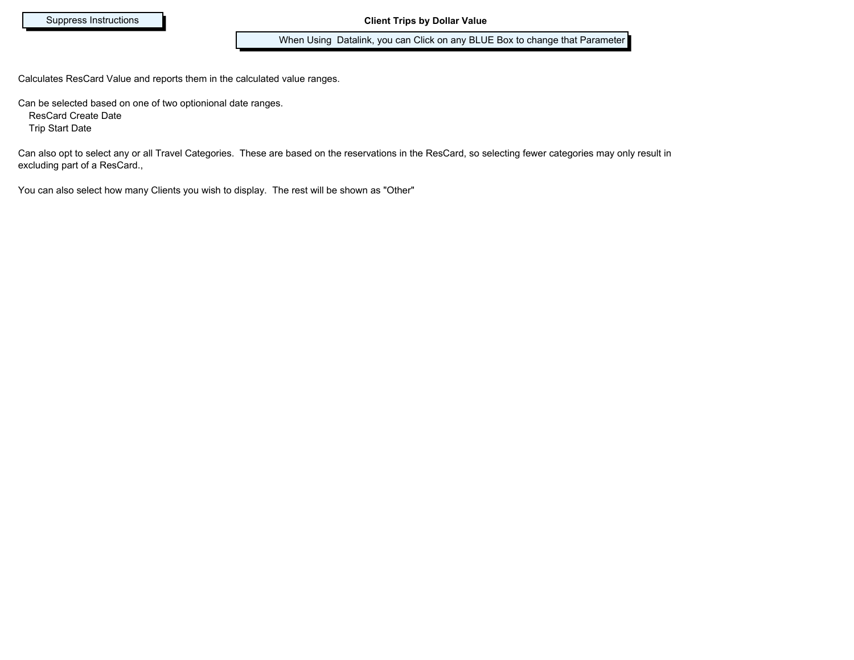When Using Datalink, you can Click on any BLUE Box to change that Parameter

Calculates ResCard Value and reports them in the calculated value ranges.

Can be selected based on one of two optionional date ranges.

ResCard Create Date

Trip Start Date

Can also opt to select any or all Travel Categories. These are based on the reservations in the ResCard, so selecting fewer categories may only result in excluding part of a ResCard.,

You can also select how many Clients you wish to display. The rest will be shown as "Other"